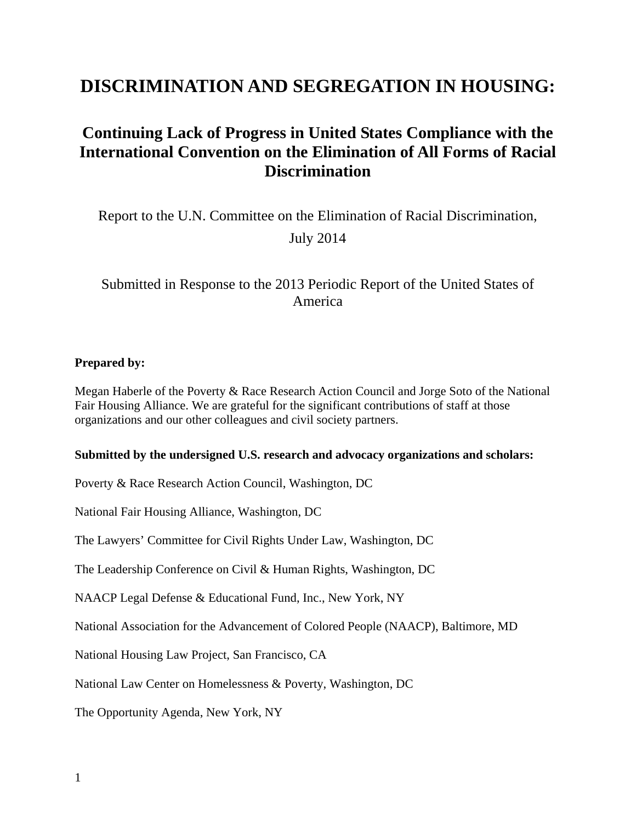# **DISCRIMINATION AND SEGREGATION IN HOUSING:**

# **Continuing Lack of Progress in United States Compliance with the International Convention on the Elimination of All Forms of Racial Discrimination**

Report to the U.N. Committee on the Elimination of Racial Discrimination, July 2014

## Submitted in Response to the 2013 Periodic Report of the United States of America

#### **Prepared by:**

Megan Haberle of the Poverty & Race Research Action Council and Jorge Soto of the National Fair Housing Alliance. We are grateful for the significant contributions of staff at those organizations and our other colleagues and civil society partners.

#### **Submitted by the undersigned U.S. research and advocacy organizations and scholars:**

Poverty & Race Research Action Council, Washington, DC

National Fair Housing Alliance, Washington, DC

The Lawyers' Committee for Civil Rights Under Law, Washington, DC

The Leadership Conference on Civil & Human Rights, Washington, DC

NAACP Legal Defense & Educational Fund, Inc., New York, NY

National Association for the Advancement of Colored People (NAACP), Baltimore, MD

National Housing Law Project, San Francisco, CA

National Law Center on Homelessness & Poverty, Washington, DC

The Opportunity Agenda, New York, NY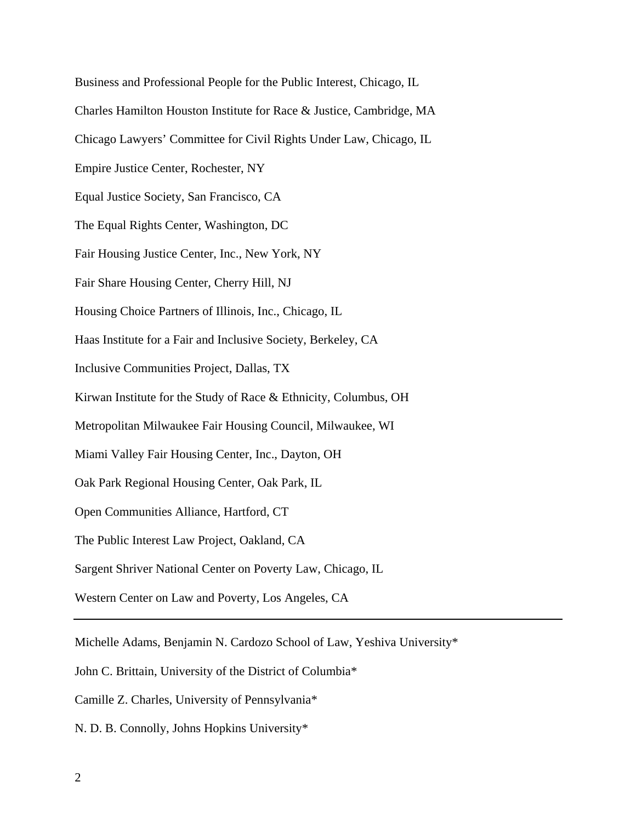Business and Professional People for the Public Interest, Chicago, IL Charles Hamilton Houston Institute for Race & Justice, Cambridge, MA Chicago Lawyers' Committee for Civil Rights Under Law, Chicago, IL Empire Justice Center, Rochester, NY Equal Justice Society, San Francisco, CA The Equal Rights Center, Washington, DC Fair Housing Justice Center, Inc., New York, NY Fair Share Housing Center, Cherry Hill, NJ Housing Choice Partners of Illinois, Inc., Chicago, IL Haas Institute for a Fair and Inclusive Society, Berkeley, CA Inclusive Communities Project, Dallas, TX Kirwan Institute for the Study of Race & Ethnicity, Columbus, OH Metropolitan Milwaukee Fair Housing Council, Milwaukee, WI Miami Valley Fair Housing Center, Inc., Dayton, OH Oak Park Regional Housing Center, Oak Park, IL Open Communities Alliance, Hartford, CT The Public Interest Law Project, Oakland, CA Sargent Shriver National Center on Poverty Law, Chicago, IL Western Center on Law and Poverty, Los Angeles, CA

Michelle Adams, Benjamin N. Cardozo School of Law, Yeshiva University\*

John C. Brittain, University of the District of Columbia\*

Camille Z. Charles, University of Pennsylvania\*

N. D. B. Connolly, Johns Hopkins University\*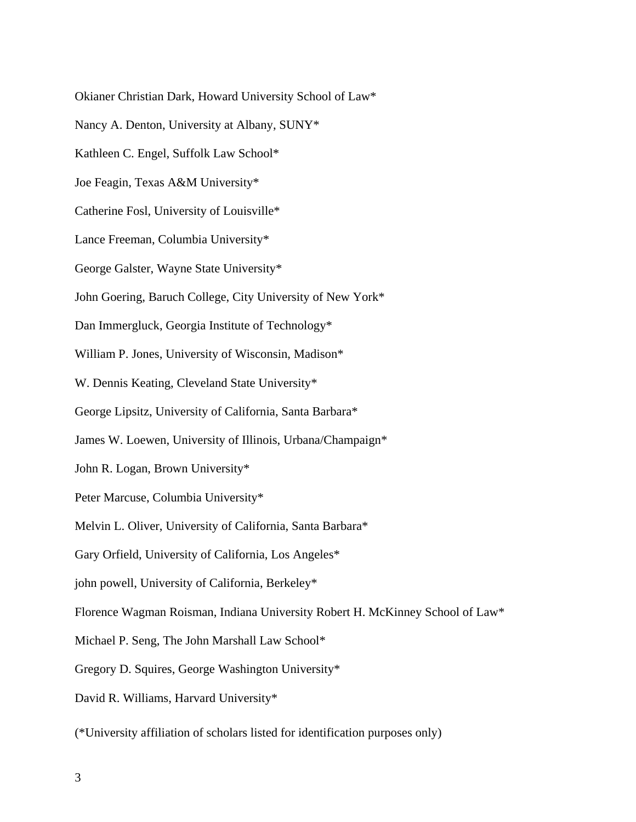Okianer Christian Dark, Howard University School of Law\* Nancy A. Denton, University at Albany, SUNY\* Kathleen C. Engel, Suffolk Law School\* Joe Feagin, Texas A&M University\* Catherine Fosl, University of Louisville\* Lance Freeman, Columbia University\* George Galster, Wayne State University\* John Goering, Baruch College, City University of New York\* Dan Immergluck, Georgia Institute of Technology\* William P. Jones, University of Wisconsin, Madison\* W. Dennis Keating, Cleveland State University\* George Lipsitz, University of California, Santa Barbara\* James W. Loewen, University of Illinois, Urbana/Champaign\* John R. Logan, Brown University\* Peter Marcuse, Columbia University\* Melvin L. Oliver, University of California, Santa Barbara\* Gary Orfield, University of California, Los Angeles\* john powell, University of California, Berkeley\* Florence Wagman Roisman, Indiana University Robert H. McKinney School of Law\* Michael P. Seng, The John Marshall Law School\* Gregory D. Squires, George Washington University\* David R. Williams, Harvard University\* (\*University affiliation of scholars listed for identification purposes only)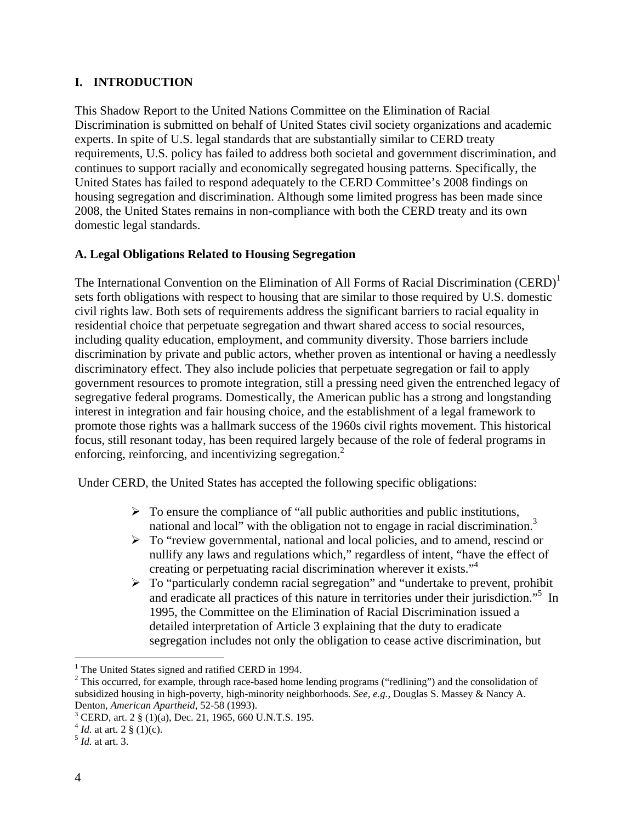## **I. INTRODUCTION**

This Shadow Report to the United Nations Committee on the Elimination of Racial Discrimination is submitted on behalf of United States civil society organizations and academic experts. In spite of U.S. legal standards that are substantially similar to CERD treaty requirements, U.S. policy has failed to address both societal and government discrimination, and continues to support racially and economically segregated housing patterns. Specifically, the United States has failed to respond adequately to the CERD Committee's 2008 findings on housing segregation and discrimination. Although some limited progress has been made since 2008, the United States remains in non-compliance with both the CERD treaty and its own domestic legal standards.

## **A. Legal Obligations Related to Housing Segregation**

The International Convention on the Elimination of All Forms of Racial Discrimination (CERD)<sup>1</sup> sets forth obligations with respect to housing that are similar to those required by U.S. domestic civil rights law. Both sets of requirements address the significant barriers to racial equality in residential choice that perpetuate segregation and thwart shared access to social resources, including quality education, employment, and community diversity. Those barriers include discrimination by private and public actors, whether proven as intentional or having a needlessly discriminatory effect. They also include policies that perpetuate segregation or fail to apply government resources to promote integration, still a pressing need given the entrenched legacy of segregative federal programs. Domestically, the American public has a strong and longstanding interest in integration and fair housing choice, and the establishment of a legal framework to promote those rights was a hallmark success of the 1960s civil rights movement. This historical focus, still resonant today, has been required largely because of the role of federal programs in enforcing, reinforcing, and incentivizing segregation.<sup>2</sup>

Under CERD, the United States has accepted the following specific obligations:

- $\triangleright$  To ensure the compliance of "all public authorities and public institutions, national and local" with the obligation not to engage in racial discrimination.<sup>3</sup>
- $\triangleright$  To "review governmental, national and local policies, and to amend, rescind or nullify any laws and regulations which," regardless of intent, "have the effect of creating or perpetuating racial discrimination wherever it exists."4
- $\triangleright$  To "particularly condemn racial segregation" and "undertake to prevent, prohibit and eradicate all practices of this nature in territories under their jurisdiction."5 In 1995, the Committee on the Elimination of Racial Discrimination issued a detailed interpretation of Article 3 explaining that the duty to eradicate segregation includes not only the obligation to cease active discrimination, but

<u>.</u>

<sup>&</sup>lt;sup>1</sup> The United States signed and ratified CERD in 1994.

 $2$  This occurred, for example, through race-based home lending programs ("redlining") and the consolidation of subsidized housing in high-poverty, high-minority neighborhoods. *See, e.g.,* Douglas S. Massey & Nancy A. Denton, *American Apartheid*, 52-58 (1993). 3

<sup>&</sup>lt;sup>3</sup> CERD, art. 2  $\S$  (1)(a), Dec. 21, 1965, 660 U.N.T.S. 195.

 $^{4}$  *Id.* at art. 2 § (1)(c).<br><sup>5</sup> *Id.* at art. 3.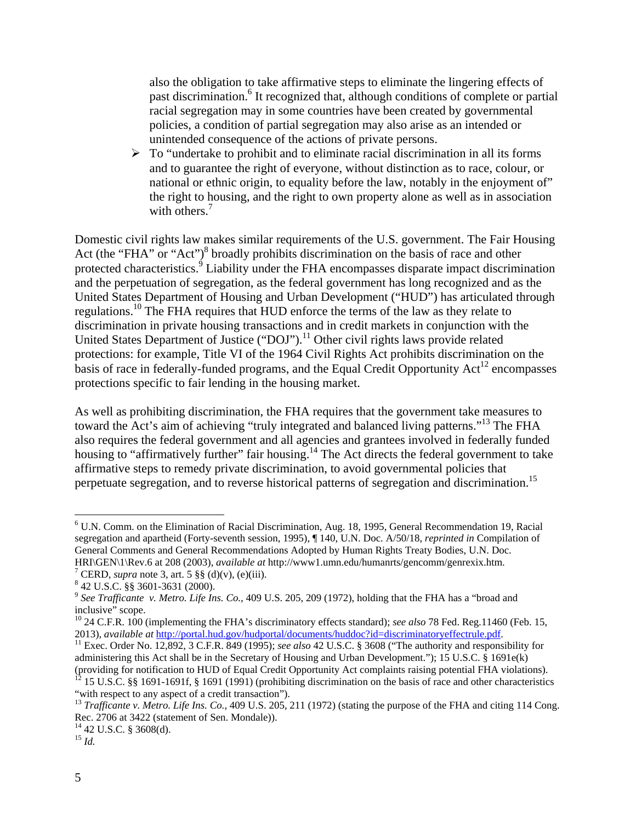also the obligation to take affirmative steps to eliminate the lingering effects of past discrimination.<sup>6</sup> It recognized that, although conditions of complete or partial racial segregation may in some countries have been created by governmental policies, a condition of partial segregation may also arise as an intended or unintended consequence of the actions of private persons.

 $\triangleright$  To "undertake to prohibit and to eliminate racial discrimination in all its forms and to guarantee the right of everyone, without distinction as to race, colour, or national or ethnic origin, to equality before the law, notably in the enjoyment of" the right to housing, and the right to own property alone as well as in association with others.<sup>7</sup>

Domestic civil rights law makes similar requirements of the U.S. government. The Fair Housing Act (the "FHA" or "Act")<sup>8</sup> broadly prohibits discrimination on the basis of race and other protected characteristics.<sup>9</sup> Liability under the FHA encompasses disparate impact discrimination and the perpetuation of segregation, as the federal government has long recognized and as the United States Department of Housing and Urban Development ("HUD") has articulated through regulations.<sup>10</sup> The FHA requires that HUD enforce the terms of the law as they relate to discrimination in private housing transactions and in credit markets in conjunction with the United States Department of Justice ("DOJ").<sup>11</sup> Other civil rights laws provide related protections: for example, Title VI of the 1964 Civil Rights Act prohibits discrimination on the basis of race in federally-funded programs, and the Equal Credit Opportunity  $Act^{12}$  encompasses protections specific to fair lending in the housing market.

As well as prohibiting discrimination, the FHA requires that the government take measures to toward the Act's aim of achieving "truly integrated and balanced living patterns."<sup>13</sup> The FHA also requires the federal government and all agencies and grantees involved in federally funded housing to "affirmatively further" fair housing.<sup>14</sup> The Act directs the federal government to take affirmative steps to remedy private discrimination, to avoid governmental policies that perpetuate segregation, and to reverse historical patterns of segregation and discrimination.<sup>15</sup>

1

<sup>&</sup>lt;sup>6</sup> U.N. Comm. on the Elimination of Racial Discrimination, Aug. 18, 1995, General Recommendation 19, Racial segregation and apartheid (Forty-seventh session, 1995), ¶ 140, U.N. Doc. A/50/18, *reprinted in* Compilation of General Comments and General Recommendations Adopted by Human Rights Treaty Bodies, U.N. Doc. HRI\GEN\1\Rev.6 at 208 (2003), *available at* http://www1.umn.edu/humanrts/gencomm/genrexix.htm. <sup>7</sup>

<sup>&</sup>lt;sup>7</sup> CERD, *supra* note 3, art. 5  $\S\S( d)(v)$ , (e)(iii).

 <sup>42</sup> U.S.C. §§ 3601-3631 (2000).

<sup>9</sup> *See Trafficante v. Metro. Life Ins. Co.*, 409 U.S. 205, 209 (1972), holding that the FHA has a "broad and inclusive" scope.

<sup>10 24</sup> C.F.R. 100 (implementing the FHA's discriminatory effects standard); *see also* 78 Fed. Reg*.*11460 (Feb. 15, 2013), available at http://portal.hud.gov/hudportal/documents/huddoc?id=discriminatoryeffectrule.pdf.<br><sup>11</sup> Exec. Order No. 12,892, 3 C.F.R. 849 (1995); see also 42 U.S.C. § 3608 ("The authority and responsibility for

administering this Act shall be in the Secretary of Housing and Urban Development."); 15 U.S.C. § 1691e(k) (providing for notification to HUD of Equal Credit Opportunity Act complaints raising potential FHA violations).<br><sup>12</sup> 15 U.S.C. §§ 1691-1691f, § 1691 (1991) (prohibiting discrimination on the basis of race and other chara

<sup>&</sup>quot;with respect to any aspect of a credit transaction").<br><sup>13</sup> *Trafficante v. Metro. Life Ins. Co.*, 409 U.S. 205, 211 (1972) (stating the purpose of the FHA and citing 114 Cong.

Rec. 2706 at 3422 (statement of Sen. Mondale)).

 $^{14}$  42 U.S.C. § 3608(d). <sup>15</sup> *Id.*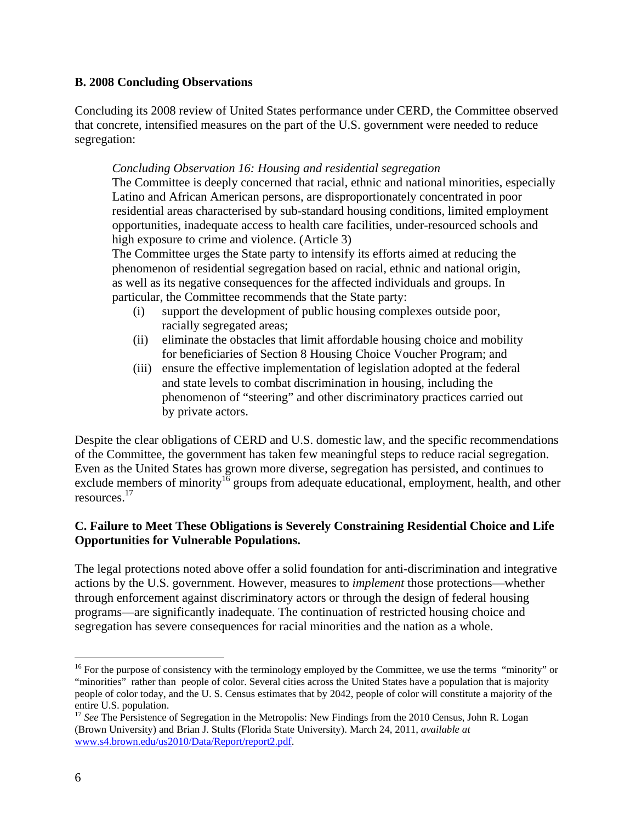#### **B. 2008 Concluding Observations**

Concluding its 2008 review of United States performance under CERD, the Committee observed that concrete, intensified measures on the part of the U.S. government were needed to reduce segregation:

#### *Concluding Observation 16: Housing and residential segregation*

The Committee is deeply concerned that racial, ethnic and national minorities, especially Latino and African American persons, are disproportionately concentrated in poor residential areas characterised by sub-standard housing conditions, limited employment opportunities, inadequate access to health care facilities, under-resourced schools and high exposure to crime and violence. (Article 3)

The Committee urges the State party to intensify its efforts aimed at reducing the phenomenon of residential segregation based on racial, ethnic and national origin, as well as its negative consequences for the affected individuals and groups. In particular, the Committee recommends that the State party:

- (i) support the development of public housing complexes outside poor, racially segregated areas;
- (ii) eliminate the obstacles that limit affordable housing choice and mobility for beneficiaries of Section 8 Housing Choice Voucher Program; and
- (iii) ensure the effective implementation of legislation adopted at the federal and state levels to combat discrimination in housing, including the phenomenon of "steering" and other discriminatory practices carried out by private actors.

Despite the clear obligations of CERD and U.S. domestic law, and the specific recommendations of the Committee, the government has taken few meaningful steps to reduce racial segregation. Even as the United States has grown more diverse, segregation has persisted, and continues to exclude members of minority<sup>16</sup> groups from adequate educational, employment, health, and other resources.17

#### **C. Failure to Meet These Obligations is Severely Constraining Residential Choice and Life Opportunities for Vulnerable Populations.**

The legal protections noted above offer a solid foundation for anti-discrimination and integrative actions by the U.S. government. However, measures to *implement* those protections—whether through enforcement against discriminatory actors or through the design of federal housing programs—are significantly inadequate. The continuation of restricted housing choice and segregation has severe consequences for racial minorities and the nation as a whole.

 $16$  For the purpose of consistency with the terminology employed by the Committee, we use the terms "minority" or "minorities" rather than people of color. Several cities across the United States have a population that is majority people of color today, and the U. S. Census estimates that by 2042, people of color will constitute a majority of the entire U.S. population.

<sup>&</sup>lt;sup>17</sup> See The Persistence of Segregation in the Metropolis: New Findings from the 2010 Census, John R. Logan (Brown University) and Brian J. Stults (Florida State University). March 24, 2011, *available at* www.s4.brown.edu/us2010/Data/Report/report2.pdf.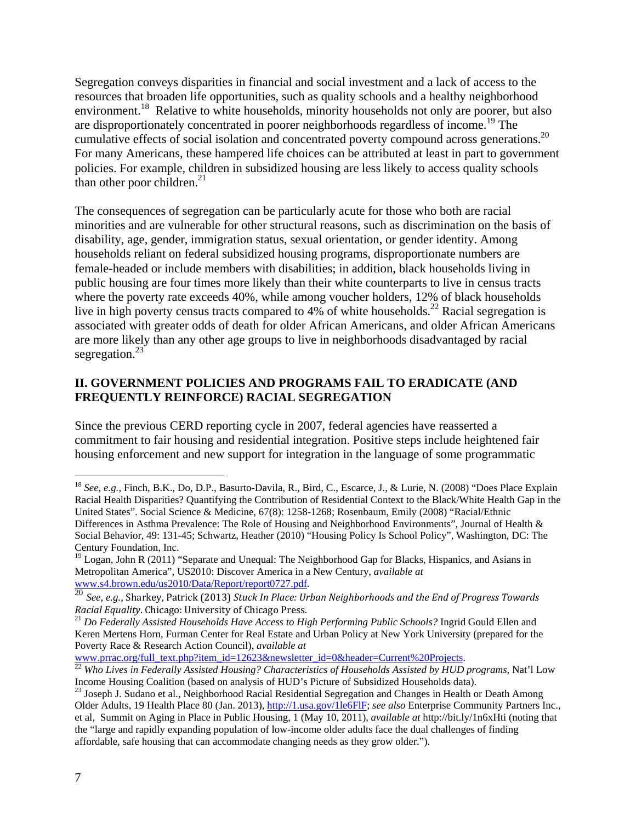Segregation conveys disparities in financial and social investment and a lack of access to the resources that broaden life opportunities, such as quality schools and a healthy neighborhood environment.<sup>18</sup> Relative to white households, minority households not only are poorer, but also are disproportionately concentrated in poorer neighborhoods regardless of income.<sup>19</sup> The cumulative effects of social isolation and concentrated poverty compound across generations.<sup>20</sup> For many Americans, these hampered life choices can be attributed at least in part to government policies. For example, children in subsidized housing are less likely to access quality schools than other poor children. $^{21}$ 

The consequences of segregation can be particularly acute for those who both are racial minorities and are vulnerable for other structural reasons, such as discrimination on the basis of disability, age, gender, immigration status, sexual orientation, or gender identity. Among households reliant on federal subsidized housing programs, disproportionate numbers are female-headed or include members with disabilities; in addition, black households living in public housing are four times more likely than their white counterparts to live in census tracts where the poverty rate exceeds 40%, while among voucher holders, 12% of black households live in high poverty census tracts compared to 4% of white households.<sup>22</sup> Racial segregation is associated with greater odds of death for older African Americans, and older African Americans are more likely than any other age groups to live in neighborhoods disadvantaged by racial segregation. $^{23}$ 

## **II. GOVERNMENT POLICIES AND PROGRAMS FAIL TO ERADICATE (AND FREQUENTLY REINFORCE) RACIAL SEGREGATION**

Since the previous CERD reporting cycle in 2007, federal agencies have reasserted a commitment to fair housing and residential integration. Positive steps include heightened fair housing enforcement and new support for integration in the language of some programmatic

<sup>1</sup> <sup>18</sup> *See, e.g.,* Finch, B.K., Do, D.P., Basurto-Davila, R., Bird, C., Escarce, J., & Lurie, N. (2008) "Does Place Explain Racial Health Disparities? Quantifying the Contribution of Residential Context to the Black/White Health Gap in the United States". Social Science & Medicine, 67(8): 1258-1268; Rosenbaum, Emily (2008) "Racial/Ethnic Differences in Asthma Prevalence: The Role of Housing and Neighborhood Environments", Journal of Health & Social Behavior, 49: 131-45; Schwartz, Heather (2010) "Housing Policy Is School Policy", Washington, DC: The Century Foundation, Inc.

<sup>&</sup>lt;sup>19</sup> Logan, John R (2011) "Separate and Unequal: The Neighborhood Gap for Blacks, Hispanics, and Asians in Metropolitan America", US2010: Discover America in a New Century, *available at* 

See, e.g., Sharkey, Patrick (2013) Stuck In Place: Urban Neighborhoods and the End of Progress Towards *Racial Equality*. Chicago: University of Chicago Press.<br><sup>21</sup> *Do Federally Assisted Households Have Access to High Performing Public Schools?* Ingrid Gould Ellen and

Keren Mertens Horn, Furman Center for Real Estate and Urban Policy at New York University (prepared for the Poverty Race & Research Action Council), *available at* 

www.prrac.org/full\_text.php?item\_id=12623&newsletter\_id=0&header=Current%20Projects.<br><sup>22</sup> *Who Lives in Federally Assisted Housing? Characteristics of Households Assisted by HUD programs*, Nat'l Low<br>Income Housing Coalitio

<sup>&</sup>lt;sup>23</sup> Joseph J. Sudano et al., Neighborhood Racial Residential Segregation and Changes in Health or Death Among Older Adults, 19 Health Place 80 (Jan. 2013), http://1.usa.gov/1le6FlF; *see also* Enterprise Community Partners Inc., et al, Summit on Aging in Place in Public Housing, 1 (May 10, 2011), *available at* http://bit.ly/1n6xHti (noting that the "large and rapidly expanding population of low-income older adults face the dual challenges of finding affordable, safe housing that can accommodate changing needs as they grow older.").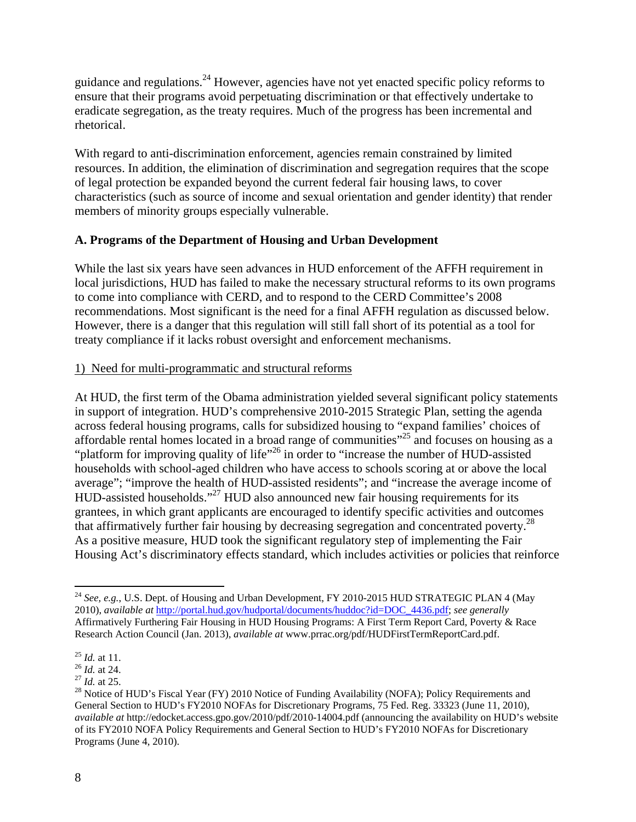guidance and regulations.24 However, agencies have not yet enacted specific policy reforms to ensure that their programs avoid perpetuating discrimination or that effectively undertake to eradicate segregation, as the treaty requires. Much of the progress has been incremental and rhetorical.

With regard to anti-discrimination enforcement, agencies remain constrained by limited resources. In addition, the elimination of discrimination and segregation requires that the scope of legal protection be expanded beyond the current federal fair housing laws, to cover characteristics (such as source of income and sexual orientation and gender identity) that render members of minority groups especially vulnerable.

#### **A. Programs of the Department of Housing and Urban Development**

While the last six years have seen advances in HUD enforcement of the AFFH requirement in local jurisdictions, HUD has failed to make the necessary structural reforms to its own programs to come into compliance with CERD, and to respond to the CERD Committee's 2008 recommendations. Most significant is the need for a final AFFH regulation as discussed below. However, there is a danger that this regulation will still fall short of its potential as a tool for treaty compliance if it lacks robust oversight and enforcement mechanisms.

#### 1) Need for multi-programmatic and structural reforms

At HUD, the first term of the Obama administration yielded several significant policy statements in support of integration. HUD's comprehensive 2010-2015 Strategic Plan, setting the agenda across federal housing programs, calls for subsidized housing to "expand families' choices of affordable rental homes located in a broad range of communities $^{325}$  and focuses on housing as a "platform for improving quality of life"<sup>26</sup> in order to "increase the number of HUD-assisted households with school-aged children who have access to schools scoring at or above the local average"; "improve the health of HUD-assisted residents"; and "increase the average income of HUD-assisted households."27 HUD also announced new fair housing requirements for its grantees, in which grant applicants are encouraged to identify specific activities and outcomes that affirmatively further fair housing by decreasing segregation and concentrated poverty.<sup>28</sup> As a positive measure, HUD took the significant regulatory step of implementing the Fair Housing Act's discriminatory effects standard, which includes activities or policies that reinforce

<sup>1</sup> <sup>24</sup> *See, e.g.*, U.S. Dept. of Housing and Urban Development, FY 2010-2015 HUD STRATEGIC PLAN 4 (May 2010), *available at* http://portal.hud.gov/hudportal/documents/huddoc?id=DOC\_4436.pdf; *see generally* Affirmatively Furthering Fair Housing in HUD Housing Programs: A First Term Report Card, Poverty & Race Research Action Council (Jan. 2013), *available at* www.prrac.org/pdf/HUDFirstTermReportCard.pdf.

<sup>&</sup>lt;sup>25</sup> *Id.* at 11.<br><sup>26</sup> *Id.* at 24.<br><sup>27</sup> *Id.* at 25.<br><sup>28</sup> Notice of HUD's Fiscal Year (FY) 2010 Notice of Funding Availability (NOFA); Policy Requirements and General Section to HUD's FY2010 NOFAs for Discretionary Programs, 75 Fed. Reg. 33323 (June 11, 2010), *available at* http://edocket.access.gpo.gov/2010/pdf/2010-14004.pdf (announcing the availability on HUD's website of its FY2010 NOFA Policy Requirements and General Section to HUD's FY2010 NOFAs for Discretionary Programs (June 4, 2010).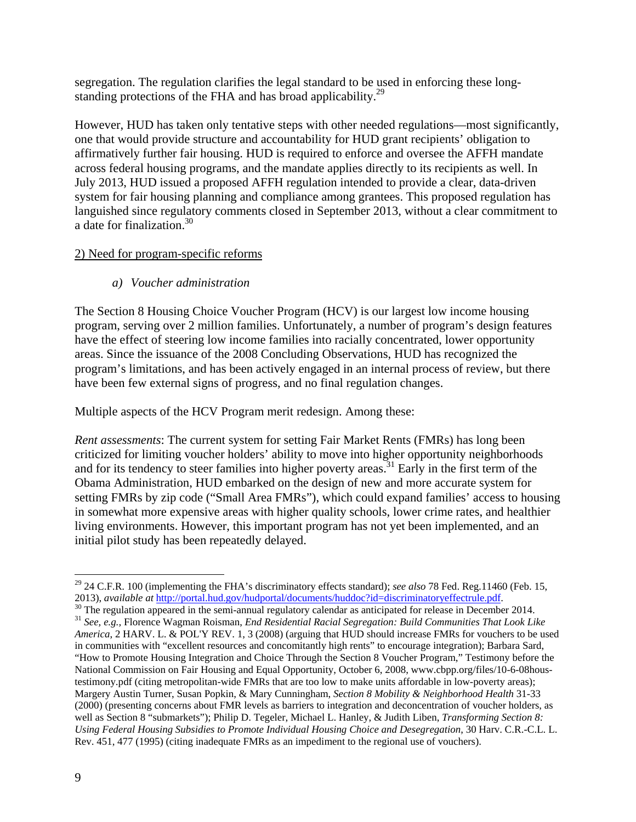segregation. The regulation clarifies the legal standard to be used in enforcing these longstanding protections of the FHA and has broad applicability.<sup>29</sup>

However, HUD has taken only tentative steps with other needed regulations—most significantly, one that would provide structure and accountability for HUD grant recipients' obligation to affirmatively further fair housing. HUD is required to enforce and oversee the AFFH mandate across federal housing programs, and the mandate applies directly to its recipients as well. In July 2013, HUD issued a proposed AFFH regulation intended to provide a clear, data-driven system for fair housing planning and compliance among grantees. This proposed regulation has languished since regulatory comments closed in September 2013, without a clear commitment to a date for finalization.30

#### 2) Need for program-specific reforms

## *a) Voucher administration*

The Section 8 Housing Choice Voucher Program (HCV) is our largest low income housing program, serving over 2 million families. Unfortunately, a number of program's design features have the effect of steering low income families into racially concentrated, lower opportunity areas. Since the issuance of the 2008 Concluding Observations, HUD has recognized the program's limitations, and has been actively engaged in an internal process of review, but there have been few external signs of progress, and no final regulation changes.

Multiple aspects of the HCV Program merit redesign. Among these:

*Rent assessments*: The current system for setting Fair Market Rents (FMRs) has long been criticized for limiting voucher holders' ability to move into higher opportunity neighborhoods and for its tendency to steer families into higher poverty areas.<sup>31</sup> Early in the first term of the Obama Administration, HUD embarked on the design of new and more accurate system for setting FMRs by zip code ("Small Area FMRs"), which could expand families' access to housing in somewhat more expensive areas with higher quality schools, lower crime rates, and healthier living environments. However, this important program has not yet been implemented, and an initial pilot study has been repeatedly delayed.

<sup>29 24</sup> C.F.R. 100 (implementing the FHA's discriminatory effects standard); *see also* 78 Fed. Reg*.*11460 (Feb. 15,

<sup>2013),</sup> available at http://portal.hud.gov/hudportal/documents/huddoc?id=discriminatoryeffectrule.pdf.<br><sup>30</sup> The regulation appeared in the semi-annual regulatory calendar as anticipated for release in December 2014.<br><sup>31</sup> Se *America*, 2 HARV. L. & POL'Y REV. 1, 3 (2008) (arguing that HUD should increase FMRs for vouchers to be used in communities with "excellent resources and concomitantly high rents" to encourage integration); Barbara Sard, "How to Promote Housing Integration and Choice Through the Section 8 Voucher Program," Testimony before the National Commission on Fair Housing and Equal Opportunity, October 6, 2008, www.cbpp.org/files/10-6-08houstestimony.pdf (citing metropolitan-wide FMRs that are too low to make units affordable in low-poverty areas); Margery Austin Turner, Susan Popkin, & Mary Cunningham, *Section 8 Mobility & Neighborhood Health* 31-33 (2000) (presenting concerns about FMR levels as barriers to integration and deconcentration of voucher holders, as well as Section 8 "submarkets"); Philip D. Tegeler, Michael L. Hanley, & Judith Liben, *Transforming Section 8: Using Federal Housing Subsidies to Promote Individual Housing Choice and Desegregation*, 30 Harv. C.R.-C.L. L. Rev. 451, 477 (1995) (citing inadequate FMRs as an impediment to the regional use of vouchers).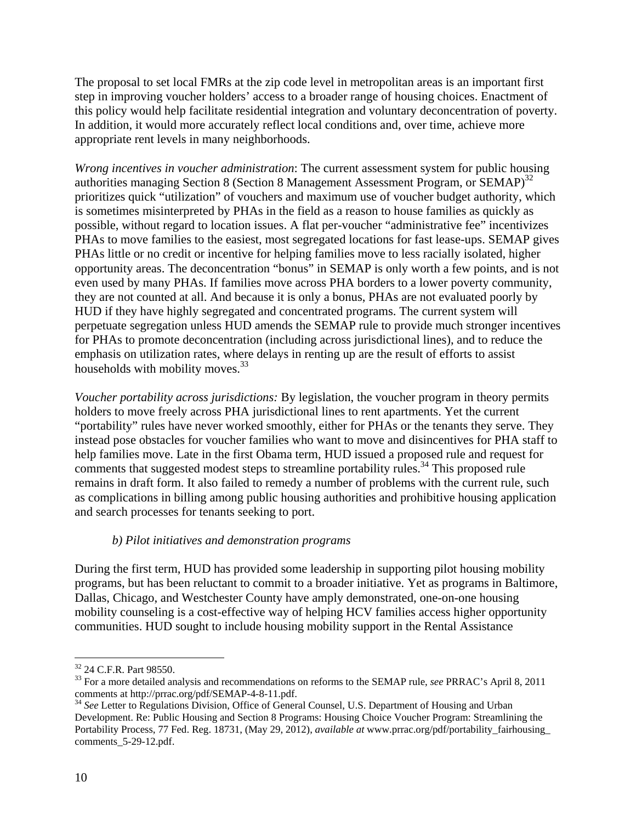The proposal to set local FMRs at the zip code level in metropolitan areas is an important first step in improving voucher holders' access to a broader range of housing choices. Enactment of this policy would help facilitate residential integration and voluntary deconcentration of poverty. In addition, it would more accurately reflect local conditions and, over time, achieve more appropriate rent levels in many neighborhoods.

*Wrong incentives in voucher administration*: The current assessment system for public housing authorities managing Section 8 (Section 8 Management Assessment Program, or  $SEMAP$ )<sup>32</sup> prioritizes quick "utilization" of vouchers and maximum use of voucher budget authority, which is sometimes misinterpreted by PHAs in the field as a reason to house families as quickly as possible, without regard to location issues. A flat per-voucher "administrative fee" incentivizes PHAs to move families to the easiest, most segregated locations for fast lease-ups. SEMAP gives PHAs little or no credit or incentive for helping families move to less racially isolated, higher opportunity areas. The deconcentration "bonus" in SEMAP is only worth a few points, and is not even used by many PHAs. If families move across PHA borders to a lower poverty community, they are not counted at all. And because it is only a bonus, PHAs are not evaluated poorly by HUD if they have highly segregated and concentrated programs. The current system will perpetuate segregation unless HUD amends the SEMAP rule to provide much stronger incentives for PHAs to promote deconcentration (including across jurisdictional lines), and to reduce the emphasis on utilization rates, where delays in renting up are the result of efforts to assist households with mobility moves.<sup>33</sup>

*Voucher portability across jurisdictions:* By legislation, the voucher program in theory permits holders to move freely across PHA jurisdictional lines to rent apartments. Yet the current "portability" rules have never worked smoothly, either for PHAs or the tenants they serve. They instead pose obstacles for voucher families who want to move and disincentives for PHA staff to help families move. Late in the first Obama term, HUD issued a proposed rule and request for comments that suggested modest steps to streamline portability rules.<sup>34</sup> This proposed rule remains in draft form. It also failed to remedy a number of problems with the current rule, such as complications in billing among public housing authorities and prohibitive housing application and search processes for tenants seeking to port.

#### *b) Pilot initiatives and demonstration programs*

During the first term, HUD has provided some leadership in supporting pilot housing mobility programs, but has been reluctant to commit to a broader initiative. Yet as programs in Baltimore, Dallas, Chicago, and Westchester County have amply demonstrated, one-on-one housing mobility counseling is a cost-effective way of helping HCV families access higher opportunity communities. HUD sought to include housing mobility support in the Rental Assistance

<sup>&</sup>lt;u>.</u> <sup>32</sup> 24 C.F.R. Part 98550.

<sup>&</sup>lt;sup>33</sup> For a more detailed analysis and recommendations on reforms to the SEMAP rule, *see* PRRAC's April 8, 2011 comments at http://prrac.org/pdf/SEMAP-4-8-11.pdf.

<sup>&</sup>lt;sup>34</sup> See Letter to Regulations Division, Office of General Counsel, U.S. Department of Housing and Urban Development. Re: Public Housing and Section 8 Programs: Housing Choice Voucher Program: Streamlining the Portability Process, 77 Fed. Reg. 18731, (May 29, 2012), *available at* www.prrac.org/pdf/portability\_fairhousing\_ comments\_5-29-12.pdf.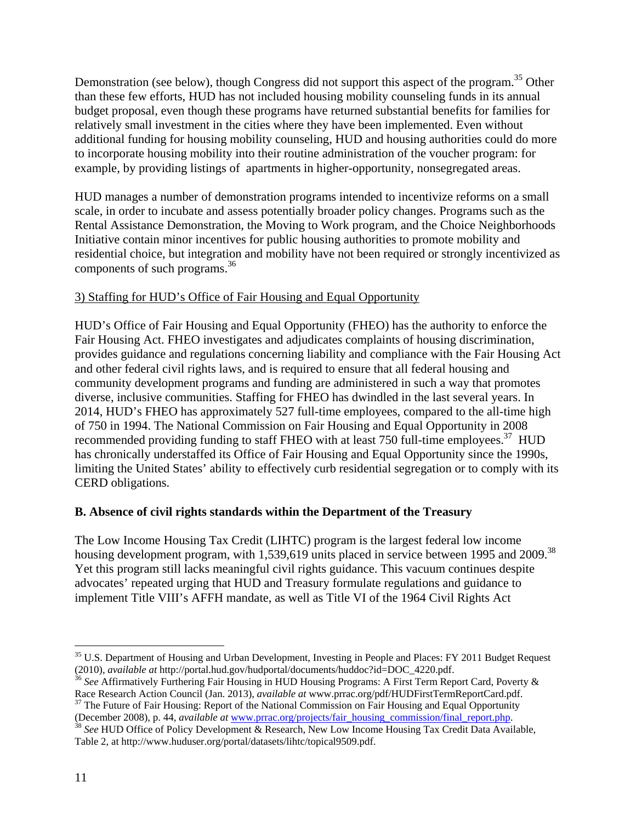Demonstration (see below), though Congress did not support this aspect of the program.<sup>35</sup> Other than these few efforts, HUD has not included housing mobility counseling funds in its annual budget proposal, even though these programs have returned substantial benefits for families for relatively small investment in the cities where they have been implemented. Even without additional funding for housing mobility counseling, HUD and housing authorities could do more to incorporate housing mobility into their routine administration of the voucher program: for example, by providing listings of apartments in higher-opportunity, nonsegregated areas.

HUD manages a number of demonstration programs intended to incentivize reforms on a small scale, in order to incubate and assess potentially broader policy changes. Programs such as the Rental Assistance Demonstration, the Moving to Work program, and the Choice Neighborhoods Initiative contain minor incentives for public housing authorities to promote mobility and residential choice, but integration and mobility have not been required or strongly incentivized as components of such programs. $36$ 

## 3) Staffing for HUD's Office of Fair Housing and Equal Opportunity

HUD's Office of Fair Housing and Equal Opportunity (FHEO) has the authority to enforce the Fair Housing Act. FHEO investigates and adjudicates complaints of housing discrimination, provides guidance and regulations concerning liability and compliance with the Fair Housing Act and other federal civil rights laws, and is required to ensure that all federal housing and community development programs and funding are administered in such a way that promotes diverse, inclusive communities. Staffing for FHEO has dwindled in the last several years. In 2014, HUD's FHEO has approximately 527 full-time employees, compared to the all-time high of 750 in 1994. The National Commission on Fair Housing and Equal Opportunity in 2008 recommended providing funding to staff FHEO with at least 750 full-time employees.<sup>37</sup> HUD has chronically understaffed its Office of Fair Housing and Equal Opportunity since the 1990s, limiting the United States' ability to effectively curb residential segregation or to comply with its CERD obligations.

#### **B. Absence of civil rights standards within the Department of the Treasury**

The Low Income Housing Tax Credit (LIHTC) program is the largest federal low income housing development program, with 1,539,619 units placed in service between 1995 and 2009.<sup>38</sup> Yet this program still lacks meaningful civil rights guidance. This vacuum continues despite advocates' repeated urging that HUD and Treasury formulate regulations and guidance to implement Title VIII's AFFH mandate, as well as Title VI of the 1964 Civil Rights Act

<sup>36</sup> See Affirmatively Furthering Fair Housing in HUD Housing Programs: A First Term Report Card, Poverty & Race Research Action Council (Jan. 2013), *available at* www.prrac.org/pdf/HUDFirstTermReportCard.pdf. <sup>37</sup> The Future of Fair Housing: Report of the National Commission on Fair Housing and Equal Opportunity

1

<sup>&</sup>lt;sup>35</sup> U.S. Department of Housing and Urban Development, Investing in People and Places: FY 2011 Budget Request (2010), *available at* http://portal.hud.gov/hudportal/documents/huddoc?id=DOC 4220.pdf.

<sup>(</sup>December 2008), p. 44, *available at* www.prrac.org/projects/fair\_housing\_commission/final\_report.php. 38 *See* HUD Office of Policy Development & Research, New Low Income Housing Tax Credit Data Available,

Table 2, at http://www.huduser.org/portal/datasets/lihtc/topical9509.pdf.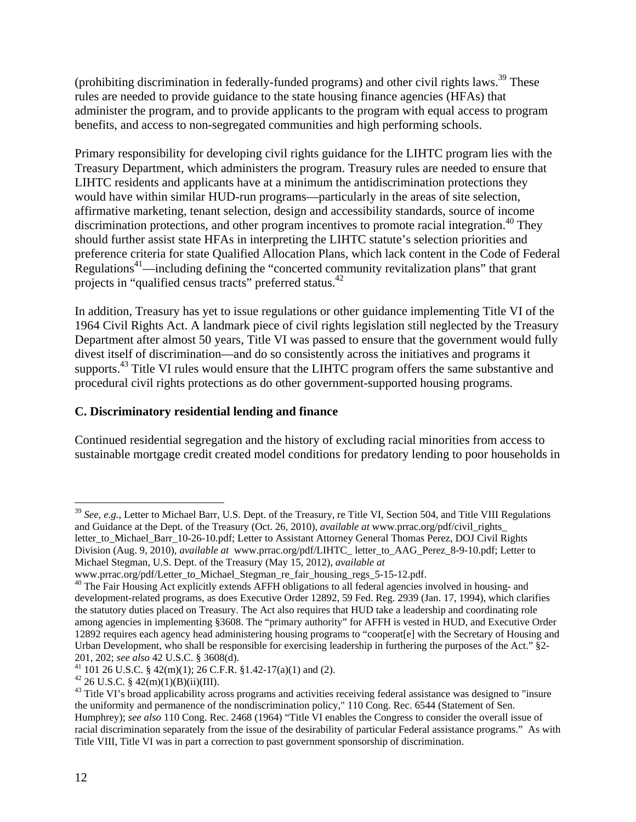(prohibiting discrimination in federally-funded programs) and other civil rights laws.<sup>39</sup> These rules are needed to provide guidance to the state housing finance agencies (HFAs) that administer the program, and to provide applicants to the program with equal access to program benefits, and access to non-segregated communities and high performing schools.

Primary responsibility for developing civil rights guidance for the LIHTC program lies with the Treasury Department, which administers the program. Treasury rules are needed to ensure that LIHTC residents and applicants have at a minimum the antidiscrimination protections they would have within similar HUD-run programs—particularly in the areas of site selection, affirmative marketing, tenant selection, design and accessibility standards, source of income discrimination protections, and other program incentives to promote racial integration.<sup>40</sup> They should further assist state HFAs in interpreting the LIHTC statute's selection priorities and preference criteria for state Qualified Allocation Plans, which lack content in the Code of Federal Regulations<sup>41</sup>—including defining the "concerted community revitalization plans" that grant projects in "qualified census tracts" preferred status.42

In addition, Treasury has yet to issue regulations or other guidance implementing Title VI of the 1964 Civil Rights Act. A landmark piece of civil rights legislation still neglected by the Treasury Department after almost 50 years, Title VI was passed to ensure that the government would fully divest itself of discrimination—and do so consistently across the initiatives and programs it supports.<sup>43</sup> Title VI rules would ensure that the LIHTC program offers the same substantive and procedural civil rights protections as do other government-supported housing programs.

### **C. Discriminatory residential lending and finance**

Continued residential segregation and the history of excluding racial minorities from access to sustainable mortgage credit created model conditions for predatory lending to poor households in

<sup>39</sup> *See, e.g.,* Letter to Michael Barr, U.S. Dept. of the Treasury, re Title VI, Section 504, and Title VIII Regulations and Guidance at the Dept. of the Treasury (Oct. 26, 2010), *available at* www.prrac.org/pdf/civil\_rights\_ letter\_to\_Michael\_Barr\_10-26-10.pdf; Letter to Assistant Attorney General Thomas Perez, DOJ Civil Rights Division (Aug. 9, 2010), *available at* www.prrac.org/pdf/LIHTC\_ letter\_to\_AAG\_Perez\_8-9-10.pdf; Letter to Michael Stegman, U.S. Dept. of the Treasury (May 15, 2012), *available at* 

www.prrac.org/pdf/Letter\_to\_Michael\_Stegman\_re\_fair\_housing\_regs\_5-15-12.pdf.

<sup>&</sup>lt;sup>40</sup> The Fair Housing Act explicitly extends AFFH obligations to all federal agencies involved in housing- and development-related programs, as does Executive Order 12892, 59 Fed. Reg. 2939 (Jan. 17, 1994), which clarifies the statutory duties placed on Treasury. The Act also requires that HUD take a leadership and coordinating role among agencies in implementing §3608. The "primary authority" for AFFH is vested in HUD, and Executive Order 12892 requires each agency head administering housing programs to "cooperat[e] with the Secretary of Housing and Urban Development, who shall be responsible for exercising leadership in furthering the purposes of the Act." §2-

<sup>201, 202;</sup> *see also* 42 U.S.C. § 3608(d).<br><sup>41</sup> 101 26 U.S.C. § 42(m)(1); 26 C.F.R. §1.42-17(a)(1) and (2).

 $42$  26 U.S.C. §  $42(m)(1)(B)(ii)(III)$ .

<sup>&</sup>lt;sup>43</sup> Title VI's broad applicability across programs and activities receiving federal assistance was designed to "insure the uniformity and permanence of the nondiscrimination policy," 110 Cong. Rec. 6544 (Statement of Sen. Humphrey); *see also* 110 Cong. Rec. 2468 (1964) "Title VI enables the Congress to consider the overall issue of racial discrimination separately from the issue of the desirability of particular Federal assistance programs." As with Title VIII, Title VI was in part a correction to past government sponsorship of discrimination.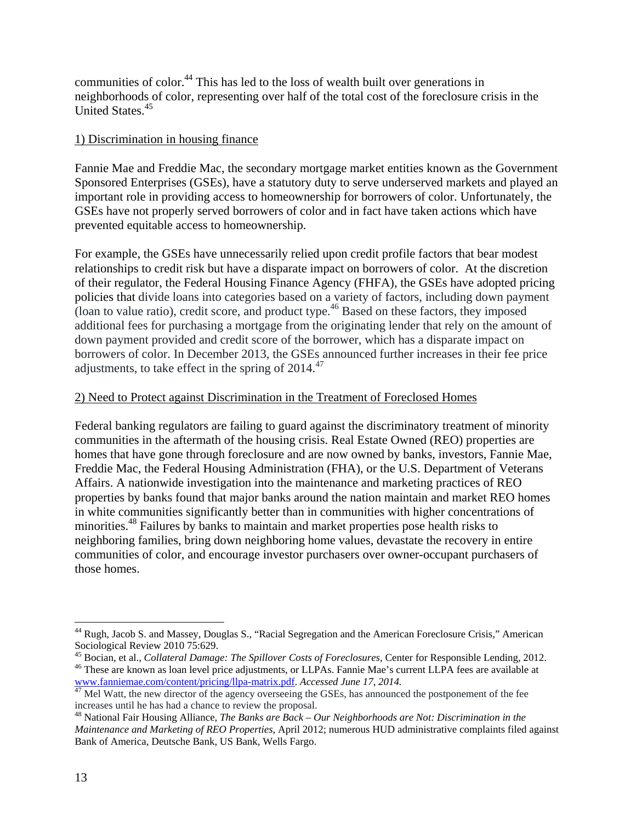communities of color.44 This has led to the loss of wealth built over generations in neighborhoods of color, representing over half of the total cost of the foreclosure crisis in the United States.<sup>45</sup>

#### 1) Discrimination in housing finance

Fannie Mae and Freddie Mac, the secondary mortgage market entities known as the Government Sponsored Enterprises (GSEs), have a statutory duty to serve underserved markets and played an important role in providing access to homeownership for borrowers of color. Unfortunately, the GSEs have not properly served borrowers of color and in fact have taken actions which have prevented equitable access to homeownership.

For example, the GSEs have unnecessarily relied upon credit profile factors that bear modest relationships to credit risk but have a disparate impact on borrowers of color. At the discretion of their regulator, the Federal Housing Finance Agency (FHFA), the GSEs have adopted pricing policies that divide loans into categories based on a variety of factors, including down payment (loan to value ratio), credit score, and product type.<sup>46</sup> Based on these factors, they imposed additional fees for purchasing a mortgage from the originating lender that rely on the amount of down payment provided and credit score of the borrower, which has a disparate impact on borrowers of color. In December 2013, the GSEs announced further increases in their fee price adjustments, to take effect in the spring of 2014.<sup>47</sup>

#### 2) Need to Protect against Discrimination in the Treatment of Foreclosed Homes

Federal banking regulators are failing to guard against the discriminatory treatment of minority communities in the aftermath of the housing crisis. Real Estate Owned (REO) properties are homes that have gone through foreclosure and are now owned by banks, investors, Fannie Mae, Freddie Mac, the Federal Housing Administration (FHA), or the U.S. Department of Veterans Affairs. A nationwide investigation into the maintenance and marketing practices of REO properties by banks found that major banks around the nation maintain and market REO homes in white communities significantly better than in communities with higher concentrations of minorities.<sup>48</sup> Failures by banks to maintain and market properties pose health risks to neighboring families, bring down neighboring home values, devastate the recovery in entire communities of color, and encourage investor purchasers over owner-occupant purchasers of those homes.

1

<sup>44</sup> Rugh, Jacob S. and Massey, Douglas S., "Racial Segregation and the American Foreclosure Crisis*,*" American Sociological Review 2010 75:629.<br><sup>45</sup> Bocian, et al., *Collateral Damage: The Spillover Costs of Foreclosures*, Center for Responsible Lending, 2012.

<sup>&</sup>lt;sup>46</sup> These are known as loan level price adjustments, or LLPAs. Fannie Mae's current LLPA fees are available at www.fanniemae.com/content/pricing/llpa-matrix.pdf. Accessed June 17, 2014.

*AT* Mel Watt, the new director of the agency overseeing the GSEs, has announced the postponement of the fee increases until he has had a chance to review the proposal.

<sup>48</sup> National Fair Housing Alliance, *The Banks are Back – Our Neighborhoods are Not: Discrimination in the Maintenance and Marketing of REO Properties*, April 2012; numerous HUD administrative complaints filed against Bank of America, Deutsche Bank, US Bank, Wells Fargo.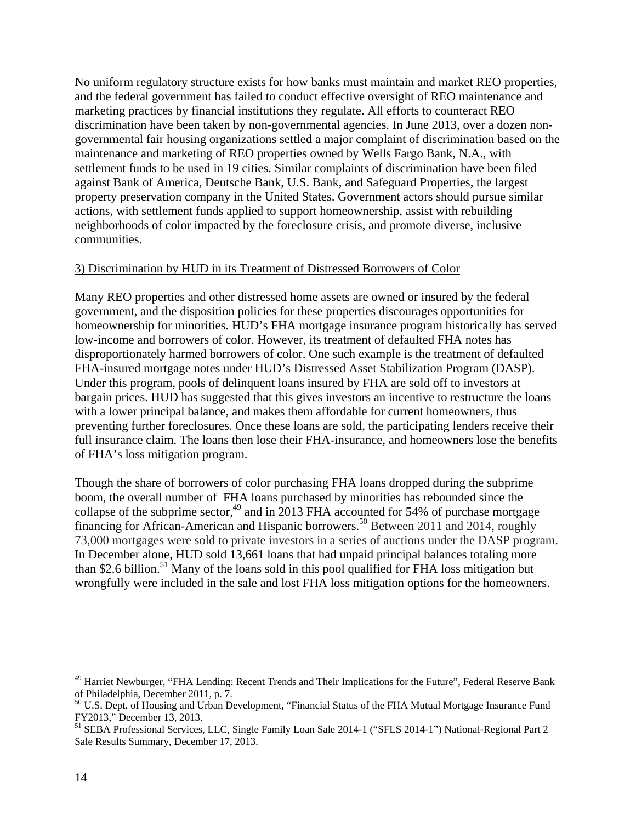No uniform regulatory structure exists for how banks must maintain and market REO properties, and the federal government has failed to conduct effective oversight of REO maintenance and marketing practices by financial institutions they regulate. All efforts to counteract REO discrimination have been taken by non-governmental agencies. In June 2013, over a dozen nongovernmental fair housing organizations settled a major complaint of discrimination based on the maintenance and marketing of REO properties owned by Wells Fargo Bank, N.A., with settlement funds to be used in 19 cities. Similar complaints of discrimination have been filed against Bank of America, Deutsche Bank, U.S. Bank, and Safeguard Properties, the largest property preservation company in the United States. Government actors should pursue similar actions, with settlement funds applied to support homeownership, assist with rebuilding neighborhoods of color impacted by the foreclosure crisis, and promote diverse, inclusive communities.

#### 3) Discrimination by HUD in its Treatment of Distressed Borrowers of Color

Many REO properties and other distressed home assets are owned or insured by the federal government, and the disposition policies for these properties discourages opportunities for homeownership for minorities. HUD's FHA mortgage insurance program historically has served low-income and borrowers of color. However, its treatment of defaulted FHA notes has disproportionately harmed borrowers of color. One such example is the treatment of defaulted FHA-insured mortgage notes under HUD's Distressed Asset Stabilization Program (DASP). Under this program, pools of delinquent loans insured by FHA are sold off to investors at bargain prices. HUD has suggested that this gives investors an incentive to restructure the loans with a lower principal balance, and makes them affordable for current homeowners, thus preventing further foreclosures. Once these loans are sold, the participating lenders receive their full insurance claim. The loans then lose their FHA-insurance, and homeowners lose the benefits of FHA's loss mitigation program.

Though the share of borrowers of color purchasing FHA loans dropped during the subprime boom, the overall number of FHA loans purchased by minorities has rebounded since the collapse of the subprime sector,<sup>49</sup> and in 2013 FHA accounted for 54% of purchase mortgage financing for African-American and Hispanic borrowers.<sup>50</sup> Between 2011 and 2014, roughly 73,000 mortgages were sold to private investors in a series of auctions under the DASP program. In December alone, HUD sold 13,661 loans that had unpaid principal balances totaling more than \$2.6 billion.<sup>51</sup> Many of the loans sold in this pool qualified for FHA loss mitigation but wrongfully were included in the sale and lost FHA loss mitigation options for the homeowners.

1

<sup>&</sup>lt;sup>49</sup> Harriet Newburger, "FHA Lending: Recent Trends and Their Implications for the Future", Federal Reserve Bank of Philadelphia, December 2011, p. 7.

<sup>&</sup>lt;sup>50</sup> U.S. Dept. of Housing and Urban Development, "Financial Status of the FHA Mutual Mortgage Insurance Fund FY2013," December 13, 2013.

<sup>51</sup> SEBA Professional Services, LLC, Single Family Loan Sale 2014-1 ("SFLS 2014-1") National-Regional Part 2 Sale Results Summary, December 17, 2013.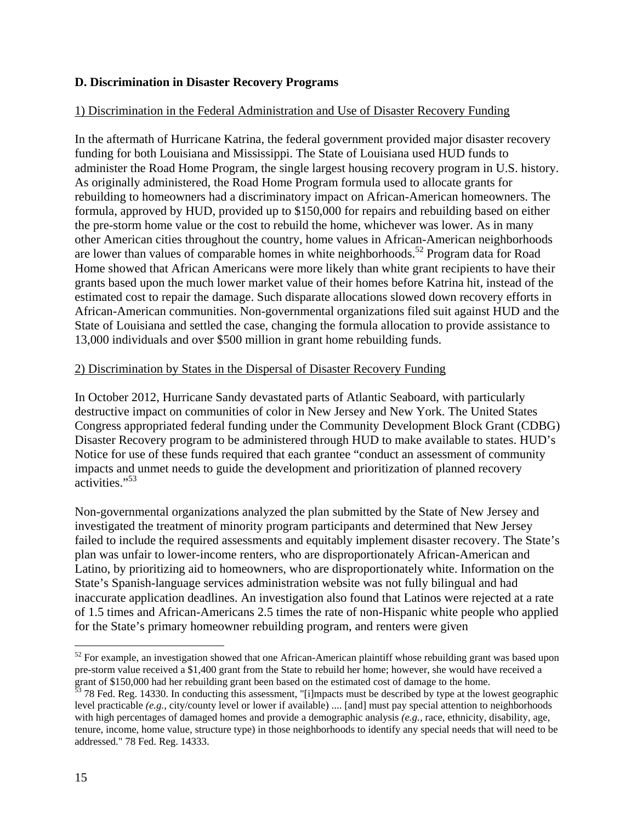#### **D. Discrimination in Disaster Recovery Programs**

#### 1) Discrimination in the Federal Administration and Use of Disaster Recovery Funding

In the aftermath of Hurricane Katrina, the federal government provided major disaster recovery funding for both Louisiana and Mississippi. The State of Louisiana used HUD funds to administer the Road Home Program, the single largest housing recovery program in U.S. history. As originally administered, the Road Home Program formula used to allocate grants for rebuilding to homeowners had a discriminatory impact on African-American homeowners. The formula, approved by HUD, provided up to \$150,000 for repairs and rebuilding based on either the pre-storm home value or the cost to rebuild the home, whichever was lower. As in many other American cities throughout the country, home values in African-American neighborhoods are lower than values of comparable homes in white neighborhoods.<sup>52</sup> Program data for Road Home showed that African Americans were more likely than white grant recipients to have their grants based upon the much lower market value of their homes before Katrina hit, instead of the estimated cost to repair the damage. Such disparate allocations slowed down recovery efforts in African-American communities. Non-governmental organizations filed suit against HUD and the State of Louisiana and settled the case, changing the formula allocation to provide assistance to 13,000 individuals and over \$500 million in grant home rebuilding funds.

#### 2) Discrimination by States in the Dispersal of Disaster Recovery Funding

In October 2012, Hurricane Sandy devastated parts of Atlantic Seaboard, with particularly destructive impact on communities of color in New Jersey and New York. The United States Congress appropriated federal funding under the Community Development Block Grant (CDBG) Disaster Recovery program to be administered through HUD to make available to states. HUD's Notice for use of these funds required that each grantee "conduct an assessment of community impacts and unmet needs to guide the development and prioritization of planned recovery activities."<sup>53</sup>

Non-governmental organizations analyzed the plan submitted by the State of New Jersey and investigated the treatment of minority program participants and determined that New Jersey failed to include the required assessments and equitably implement disaster recovery. The State's plan was unfair to lower-income renters, who are disproportionately African-American and Latino, by prioritizing aid to homeowners, who are disproportionately white. Information on the State's Spanish-language services administration website was not fully bilingual and had inaccurate application deadlines. An investigation also found that Latinos were rejected at a rate of 1.5 times and African-Americans 2.5 times the rate of non-Hispanic white people who applied for the State's primary homeowner rebuilding program, and renters were given

 $52$  For example, an investigation showed that one African-American plaintiff whose rebuilding grant was based upon pre-storm value received a \$1,400 grant from the State to rebuild her home; however, she would have received a grant of \$150,000 had her rebuilding grant been based on the estimated cost of damage to the home.

 $\frac{53}{3}$  78 Fed. Reg. 14330. In conducting this assessment, "[i]mpacts must be described by type at the lowest geographic level practicable *(e.g.,* city/county level or lower if available) .... [and] must pay special attention to neighborhoods with high percentages of damaged homes and provide a demographic analysis *(e.g.,* race, ethnicity, disability, age, tenure, income, home value, structure type) in those neighborhoods to identify any special needs that will need to be addressed." 78 Fed. Reg. 14333.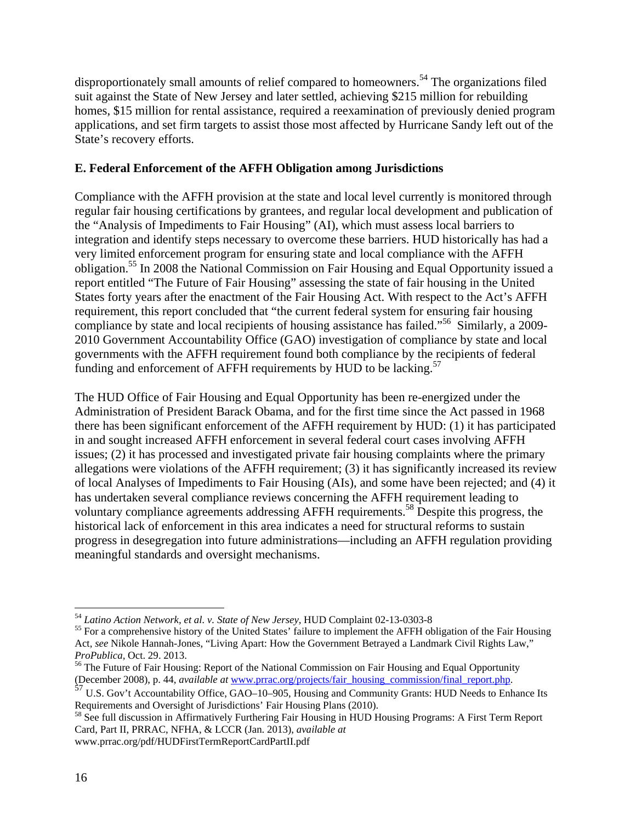disproportionately small amounts of relief compared to homeowners.<sup>54</sup> The organizations filed suit against the State of New Jersey and later settled, achieving \$215 million for rebuilding homes, \$15 million for rental assistance, required a reexamination of previously denied program applications, and set firm targets to assist those most affected by Hurricane Sandy left out of the State's recovery efforts.

### **E. Federal Enforcement of the AFFH Obligation among Jurisdictions**

Compliance with the AFFH provision at the state and local level currently is monitored through regular fair housing certifications by grantees, and regular local development and publication of the "Analysis of Impediments to Fair Housing" (AI), which must assess local barriers to integration and identify steps necessary to overcome these barriers. HUD historically has had a very limited enforcement program for ensuring state and local compliance with the AFFH obligation.<sup>55</sup> In 2008 the National Commission on Fair Housing and Equal Opportunity issued a report entitled "The Future of Fair Housing" assessing the state of fair housing in the United States forty years after the enactment of the Fair Housing Act. With respect to the Act's AFFH requirement, this report concluded that "the current federal system for ensuring fair housing compliance by state and local recipients of housing assistance has failed."<sup>56</sup> Similarly, a 2009-2010 Government Accountability Office (GAO) investigation of compliance by state and local governments with the AFFH requirement found both compliance by the recipients of federal funding and enforcement of AFFH requirements by HUD to be lacking.<sup>57</sup>

The HUD Office of Fair Housing and Equal Opportunity has been re-energized under the Administration of President Barack Obama, and for the first time since the Act passed in 1968 there has been significant enforcement of the AFFH requirement by HUD: (1) it has participated in and sought increased AFFH enforcement in several federal court cases involving AFFH issues; (2) it has processed and investigated private fair housing complaints where the primary allegations were violations of the AFFH requirement; (3) it has significantly increased its review of local Analyses of Impediments to Fair Housing (AIs), and some have been rejected; and (4) it has undertaken several compliance reviews concerning the AFFH requirement leading to voluntary compliance agreements addressing AFFH requirements.<sup>58</sup> Despite this progress, the historical lack of enforcement in this area indicates a need for structural reforms to sustain progress in desegregation into future administrations—including an AFFH regulation providing meaningful standards and oversight mechanisms.

<sup>&</sup>lt;sup>54</sup> Latino Action Network, et al. v. State of New Jersey, HUD Complaint 02-13-0303-8

<sup>&</sup>lt;sup>55</sup> For a comprehensive history of the United States' failure to implement the AFFH obligation of the Fair Housing Act, *see* Nikole Hannah-Jones, "Living Apart: How the Government Betrayed a Landmark Civil Rights Law,"

*ProPublica*, Oct. 29. 2013.<br><sup>56</sup> The Future of Fair Housing: Report of the National Commission on Fair Housing and Equal Opportunity<br>(December 2008), p. 44, *available at* www.prrac.org/projects/fair housing commission/fi

<sup>&</sup>lt;sup>57</sup> U.S. Gov't Accountability Office, GAO–10–905, Housing and Community Grants: HUD Needs to Enhance Its Requirements and Oversight of Jurisdictions' Fair Housing Plans (2010).

<sup>&</sup>lt;sup>58</sup> See full discussion in Affirmatively Furthering Fair Housing in HUD Housing Programs: A First Term Report Card, Part II, PRRAC, NFHA, & LCCR (Jan. 2013), *available at* www.prrac.org/pdf/HUDFirstTermReportCardPartII.pdf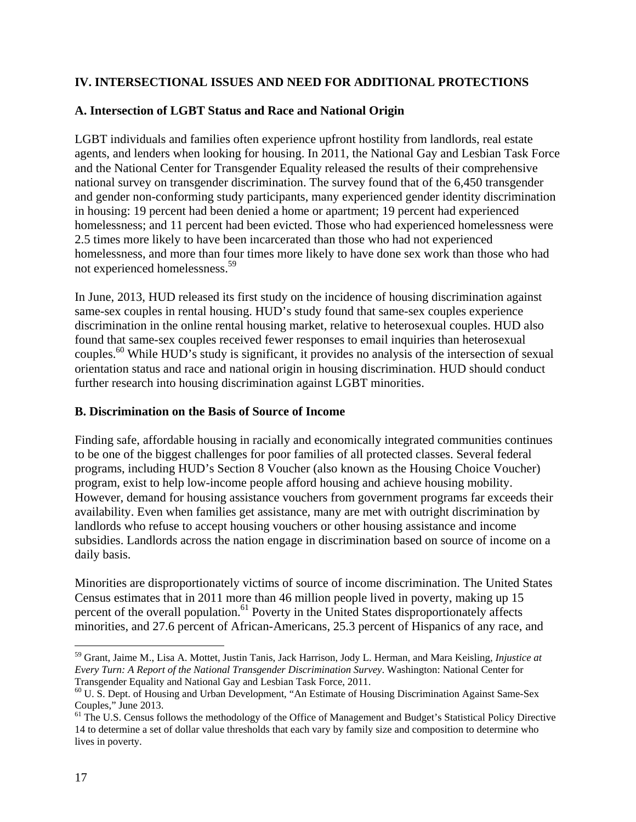## **IV. INTERSECTIONAL ISSUES AND NEED FOR ADDITIONAL PROTECTIONS**

## **A. Intersection of LGBT Status and Race and National Origin**

LGBT individuals and families often experience upfront hostility from landlords, real estate agents, and lenders when looking for housing. In 2011, the National Gay and Lesbian Task Force and the National Center for Transgender Equality released the results of their comprehensive national survey on transgender discrimination. The survey found that of the 6,450 transgender and gender non-conforming study participants, many experienced gender identity discrimination in housing: 19 percent had been denied a home or apartment; 19 percent had experienced homelessness; and 11 percent had been evicted. Those who had experienced homelessness were 2.5 times more likely to have been incarcerated than those who had not experienced homelessness, and more than four times more likely to have done sex work than those who had not experienced homelessness.<sup>59</sup>

In June, 2013, HUD released its first study on the incidence of housing discrimination against same-sex couples in rental housing. HUD's study found that same-sex couples experience discrimination in the online rental housing market, relative to heterosexual couples. HUD also found that same-sex couples received fewer responses to email inquiries than heterosexual couples.<sup>60</sup> While HUD's study is significant, it provides no analysis of the intersection of sexual orientation status and race and national origin in housing discrimination. HUD should conduct further research into housing discrimination against LGBT minorities.

#### **B. Discrimination on the Basis of Source of Income**

Finding safe, affordable housing in racially and economically integrated communities continues to be one of the biggest challenges for poor families of all protected classes. Several federal programs, including HUD's Section 8 Voucher (also known as the Housing Choice Voucher) program, exist to help low-income people afford housing and achieve housing mobility. However, demand for housing assistance vouchers from government programs far exceeds their availability. Even when families get assistance, many are met with outright discrimination by landlords who refuse to accept housing vouchers or other housing assistance and income subsidies. Landlords across the nation engage in discrimination based on source of income on a daily basis.

Minorities are disproportionately victims of source of income discrimination. The United States Census estimates that in 2011 more than 46 million people lived in poverty, making up 15 percent of the overall population.<sup>61</sup> Poverty in the United States disproportionately affects minorities, and 27.6 percent of African-Americans, 25.3 percent of Hispanics of any race, and

<sup>59</sup> Grant, Jaime M., Lisa A. Mottet, Justin Tanis, Jack Harrison, Jody L. Herman, and Mara Keisling, *Injustice at Every Turn: A Report of the National Transgender Discrimination Survey*. Washington: National Center for Transgender Equality and National Gay and Lesbian Task Force, 2011.

<sup>60</sup> U. S. Dept. of Housing and Urban Development, "An Estimate of Housing Discrimination Against Same-Sex Couples," June 2013.

<sup>&</sup>lt;sup>61</sup> The U.S. Census follows the methodology of the Office of Management and Budget's Statistical Policy Directive 14 to determine a set of dollar value thresholds that each vary by family size and composition to determine who lives in poverty.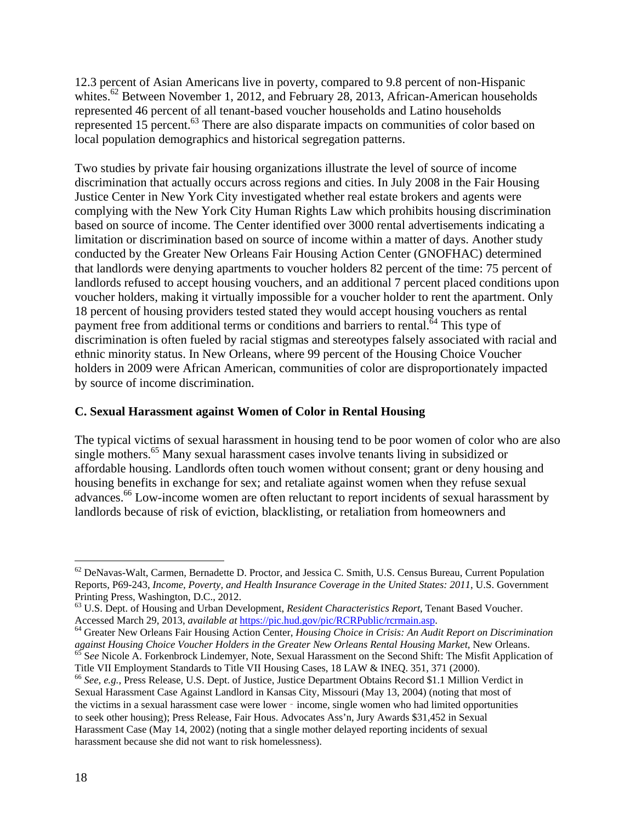12.3 percent of Asian Americans live in poverty, compared to 9.8 percent of non-Hispanic whites.<sup>62</sup> Between November 1, 2012, and February 28, 2013, African-American households represented 46 percent of all tenant-based voucher households and Latino households represented 15 percent.<sup>63</sup> There are also disparate impacts on communities of color based on local population demographics and historical segregation patterns.

Two studies by private fair housing organizations illustrate the level of source of income discrimination that actually occurs across regions and cities. In July 2008 in the Fair Housing Justice Center in New York City investigated whether real estate brokers and agents were complying with the New York City Human Rights Law which prohibits housing discrimination based on source of income. The Center identified over 3000 rental advertisements indicating a limitation or discrimination based on source of income within a matter of days. Another study conducted by the Greater New Orleans Fair Housing Action Center (GNOFHAC) determined that landlords were denying apartments to voucher holders 82 percent of the time: 75 percent of landlords refused to accept housing vouchers, and an additional 7 percent placed conditions upon voucher holders, making it virtually impossible for a voucher holder to rent the apartment. Only 18 percent of housing providers tested stated they would accept housing vouchers as rental payment free from additional terms or conditions and barriers to rental.<sup>64</sup> This type of discrimination is often fueled by racial stigmas and stereotypes falsely associated with racial and ethnic minority status. In New Orleans, where 99 percent of the Housing Choice Voucher holders in 2009 were African American, communities of color are disproportionately impacted by source of income discrimination.

#### **C. Sexual Harassment against Women of Color in Rental Housing**

The typical victims of sexual harassment in housing tend to be poor women of color who are also single mothers.<sup>65</sup> Many sexual harassment cases involve tenants living in subsidized or affordable housing. Landlords often touch women without consent; grant or deny housing and housing benefits in exchange for sex; and retaliate against women when they refuse sexual advances.66 Low-income women are often reluctant to report incidents of sexual harassment by landlords because of risk of eviction, blacklisting, or retaliation from homeowners and

 $62$  DeNavas-Walt, Carmen, Bernadette D. Proctor, and Jessica C. Smith, U.S. Census Bureau, Current Population Reports, P69-243, *Income, Poverty, and Health Insurance Coverage in the United States: 2011*, U.S. Government Printing Press, Washington, D.C., 2012.

<sup>63</sup> U.S. Dept. of Housing and Urban Development, *Resident Characteristics Report*, Tenant Based Voucher.

Accessed March 29, 2013, *available at* https://pic.hud.gov/pic/RCRPublic/rcrmain.asp.<br><sup>64</sup> Greater New Orleans Fair Housing Action Center, *Housing Choice in Crisis: An Audit Report on Discrimination*<br>*against Housing Cho* <sup>65</sup> See Nicole A. Forkenbrock Lindemyer, Note, Sexual Harassment on the Second Shift: The Misfit Application of

Title VII Employment Standards to Title VII Housing Cases, 18 LAW & INEQ. 351, 371 (2000). <sup>66</sup> *See, e.g.*, Press Release, U.S. Dept. of Justice, Justice Department Obtains Record \$1.1 Million Verdict in Sexual Harassment Case Against Landlord in Kansas City, Missouri (May 13, 2004) (noting that most of the victims in a sexual harassment case were lower - income, single women who had limited opportunities to seek other housing); Press Release, Fair Hous. Advocates Ass'n, Jury Awards \$31,452 in Sexual Harassment Case (May 14, 2002) (noting that a single mother delayed reporting incidents of sexual harassment because she did not want to risk homelessness).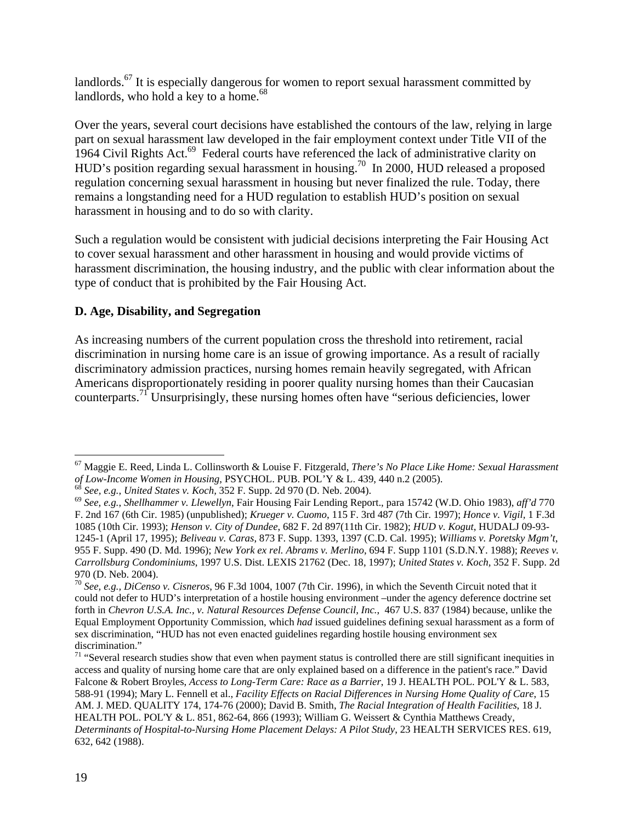landlords.<sup>67</sup> It is especially dangerous for women to report sexual harassment committed by landlords, who hold a key to a home. $68$ 

Over the years, several court decisions have established the contours of the law, relying in large part on sexual harassment law developed in the fair employment context under Title VII of the 1964 Civil Rights Act.<sup>69</sup> Federal courts have referenced the lack of administrative clarity on HUD's position regarding sexual harassment in housing.<sup>70</sup> In 2000, HUD released a proposed regulation concerning sexual harassment in housing but never finalized the rule. Today, there remains a longstanding need for a HUD regulation to establish HUD's position on sexual harassment in housing and to do so with clarity.

Such a regulation would be consistent with judicial decisions interpreting the Fair Housing Act to cover sexual harassment and other harassment in housing and would provide victims of harassment discrimination, the housing industry, and the public with clear information about the type of conduct that is prohibited by the Fair Housing Act.

## **D. Age, Disability, and Segregation**

As increasing numbers of the current population cross the threshold into retirement, racial discrimination in nursing home care is an issue of growing importance. As a result of racially discriminatory admission practices, nursing homes remain heavily segregated, with African Americans disproportionately residing in poorer quality nursing homes than their Caucasian counterparts.71 Unsurprisingly, these nursing homes often have "serious deficiencies, lower

 $\overline{a}$ 67 Maggie E. Reed, Linda L. Collinsworth & Louise F. Fitzgerald, *There's No Place Like Home: Sexual Harassment*  of Low-Income Women in Housing, PSYCHOL. PUB. POL'Y & L. 439, 440 n.2 (2005).<br><sup>68</sup> See, e.g., United States v. Koch, 352 F. Supp. 2d 970 (D. Neb. 2004).<br><sup>69</sup> See, e.g., Shellhammer v. Llewellyn, Fair Housing Fair Lending R

F. 2nd 167 (6th Cir. 1985) (unpublished); *Krueger v. Cuomo*, 115 F. 3rd 487 (7th Cir. 1997); *Honce v. Vigil,* 1 F.3d 1085 (10th Cir. 1993); *Henson v. City of Dundee*, 682 F. 2d 897(11th Cir. 1982); *HUD v. Kogut*, HUDALJ 09-93- 1245-1 (April 17, 1995); *Beliveau v. Caras*, 873 F. Supp. 1393, 1397 (C.D. Cal. 1995); *Williams v. Poretsky Mgm't*, 955 F. Supp. 490 (D. Md. 1996); *New York ex rel. Abrams v. Merlino*, 694 F. Supp 1101 (S.D.N.Y. 1988); *Reeves v. Carrollsburg Condominiums*, 1997 U.S. Dist. LEXIS 21762 (Dec. 18, 1997); *United States v. Koch,* 352 F. Supp. 2d 970 (D. Neb. 2004).

<sup>70</sup> *See, e.g., DiCenso v. Cisneros*, 96 F.3d 1004, 1007 (7th Cir. 1996), in which the Seventh Circuit noted that it could not defer to HUD's interpretation of a hostile housing environment –under the agency deference doctrine set forth in *Chevron U.S.A. Inc., v. Natural Resources Defense Council, Inc.*, 467 U.S. 837 (1984) because, unlike the Equal Employment Opportunity Commission, which *had* issued guidelines defining sexual harassment as a form of sex discrimination, "HUD has not even enacted guidelines regarding hostile housing environment sex discrimination."

 $71$  "Several research studies show that even when payment status is controlled there are still significant inequities in access and quality of nursing home care that are only explained based on a difference in the patient's race." David Falcone & Robert Broyles, *Access to Long-Term Care: Race as a Barrier*, 19 J. HEALTH POL. POL'Y & L. 583, 588-91 (1994); Mary L. Fennell et al., *Facility Effects on Racial Differences in Nursing Home Quality of Care*, 15 AM. J. MED. QUALITY 174, 174-76 (2000); David B. Smith, *The Racial Integration of Health Facilities*, 18 J. HEALTH POL. POL'Y & L. 851, 862-64, 866 (1993); William G. Weissert & Cynthia Matthews Cready, *Determinants of Hospital-to-Nursing Home Placement Delays: A Pilot Study*, 23 HEALTH SERVICES RES. 619, 632, 642 (1988).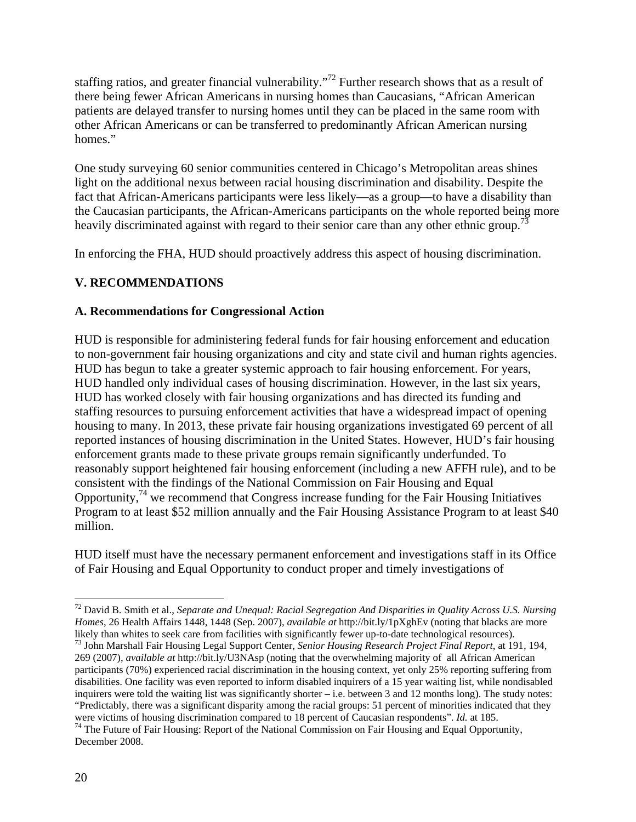staffing ratios, and greater financial vulnerability."<sup>72</sup> Further research shows that as a result of there being fewer African Americans in nursing homes than Caucasians, "African American patients are delayed transfer to nursing homes until they can be placed in the same room with other African Americans or can be transferred to predominantly African American nursing homes."

One study surveying 60 senior communities centered in Chicago's Metropolitan areas shines light on the additional nexus between racial housing discrimination and disability. Despite the fact that African-Americans participants were less likely—as a group—to have a disability than the Caucasian participants, the African-Americans participants on the whole reported being more heavily discriminated against with regard to their senior care than any other ethnic group.<sup>73</sup>

In enforcing the FHA, HUD should proactively address this aspect of housing discrimination.

## **V. RECOMMENDATIONS**

## **A. Recommendations for Congressional Action**

HUD is responsible for administering federal funds for fair housing enforcement and education to non-government fair housing organizations and city and state civil and human rights agencies. HUD has begun to take a greater systemic approach to fair housing enforcement. For years, HUD handled only individual cases of housing discrimination. However, in the last six years, HUD has worked closely with fair housing organizations and has directed its funding and staffing resources to pursuing enforcement activities that have a widespread impact of opening housing to many. In 2013, these private fair housing organizations investigated 69 percent of all reported instances of housing discrimination in the United States. However, HUD's fair housing enforcement grants made to these private groups remain significantly underfunded. To reasonably support heightened fair housing enforcement (including a new AFFH rule), and to be consistent with the findings of the National Commission on Fair Housing and Equal Opportunity,  $^{74}$  we recommend that Congress increase funding for the Fair Housing Initiatives Program to at least \$52 million annually and the Fair Housing Assistance Program to at least \$40 million.

HUD itself must have the necessary permanent enforcement and investigations staff in its Office of Fair Housing and Equal Opportunity to conduct proper and timely investigations of

<sup>72</sup> David B. Smith et al., *Separate and Unequal: Racial Segregation And Disparities in Quality Across U.S. Nursing Homes*, 26 Health Affairs 1448, 1448 (Sep. 2007), *available at* http://bit.ly/1pXghEv (noting that blacks are more likely than whites to seek care from facilities with significantly fewer up-to-date technological resourc

<sup>73</sup> John Marshall Fair Housing Legal Support Center, Senior Housing Research Project Final Report, at 191, 194, 269 (2007), *available at* http://bit.ly/U3NAsp (noting that the overwhelming majority of all African American participants (70%) experienced racial discrimination in the housing context, yet only 25% reporting suffering from disabilities. One facility was even reported to inform disabled inquirers of a 15 year waiting list, while nondisabled inquirers were told the waiting list was significantly shorter – i.e. between 3 and 12 months long). The study notes: "Predictably, there was a significant disparity among the racial groups: 51 percent of minorities indicated that they were victims of housing discrimination compared to 18 percent of Caucasian respondents". *Id.* at 185.

<sup>&</sup>lt;sup>74</sup> The Future of Fair Housing: Report of the National Commission on Fair Housing and Equal Opportunity, December 2008.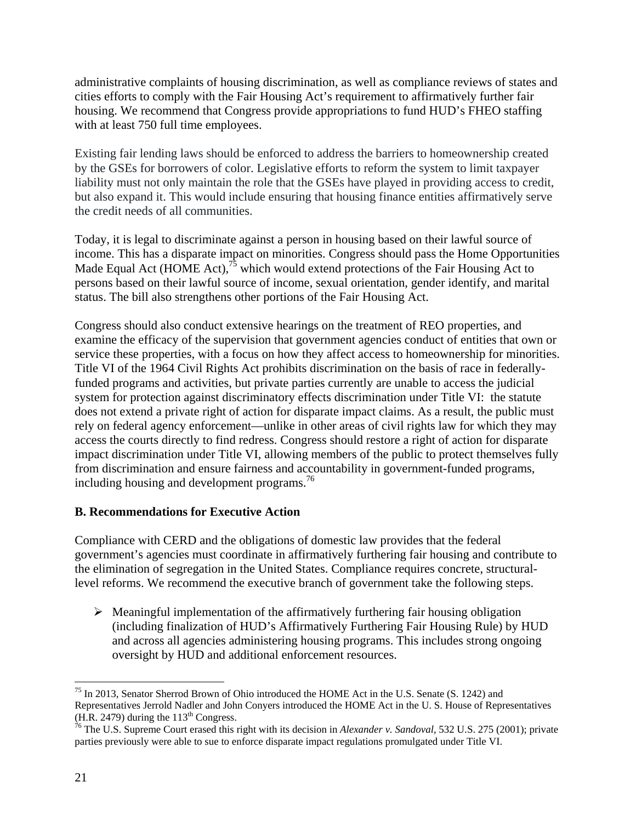administrative complaints of housing discrimination, as well as compliance reviews of states and cities efforts to comply with the Fair Housing Act's requirement to affirmatively further fair housing. We recommend that Congress provide appropriations to fund HUD's FHEO staffing with at least 750 full time employees.

Existing fair lending laws should be enforced to address the barriers to homeownership created by the GSEs for borrowers of color. Legislative efforts to reform the system to limit taxpayer liability must not only maintain the role that the GSEs have played in providing access to credit, but also expand it. This would include ensuring that housing finance entities affirmatively serve the credit needs of all communities.

Today, it is legal to discriminate against a person in housing based on their lawful source of income. This has a disparate impact on minorities. Congress should pass the Home Opportunities Made Equal Act (HOME Act),<sup>75</sup> which would extend protections of the Fair Housing Act to persons based on their lawful source of income, sexual orientation, gender identify, and marital status. The bill also strengthens other portions of the Fair Housing Act.

Congress should also conduct extensive hearings on the treatment of REO properties, and examine the efficacy of the supervision that government agencies conduct of entities that own or service these properties, with a focus on how they affect access to homeownership for minorities. Title VI of the 1964 Civil Rights Act prohibits discrimination on the basis of race in federallyfunded programs and activities, but private parties currently are unable to access the judicial system for protection against discriminatory effects discrimination under Title VI: the statute does not extend a private right of action for disparate impact claims. As a result, the public must rely on federal agency enforcement—unlike in other areas of civil rights law for which they may access the courts directly to find redress. Congress should restore a right of action for disparate impact discrimination under Title VI, allowing members of the public to protect themselves fully from discrimination and ensure fairness and accountability in government-funded programs, including housing and development programs.<sup>76</sup>

#### **B. Recommendations for Executive Action**

Compliance with CERD and the obligations of domestic law provides that the federal government's agencies must coordinate in affirmatively furthering fair housing and contribute to the elimination of segregation in the United States. Compliance requires concrete, structurallevel reforms. We recommend the executive branch of government take the following steps.

 $\triangleright$  Meaningful implementation of the affirmatively furthering fair housing obligation (including finalization of HUD's Affirmatively Furthering Fair Housing Rule) by HUD and across all agencies administering housing programs. This includes strong ongoing oversight by HUD and additional enforcement resources.

<sup>&</sup>lt;sup>75</sup> In 2013, Senator Sherrod Brown of Ohio introduced the HOME Act in the U.S. Senate (S. 1242) and Representatives Jerrold Nadler and John Conyers introduced the HOME Act in the U. S. House of Representatives (H.R. 2479) during the 113<sup>th</sup> Congress.<br><sup>76</sup> The U.S. Supreme Court erased this right with its decision in *Alexander v. Sandoval*, 532 U.S. 275 (2001); private

parties previously were able to sue to enforce disparate impact regulations promulgated under Title VI.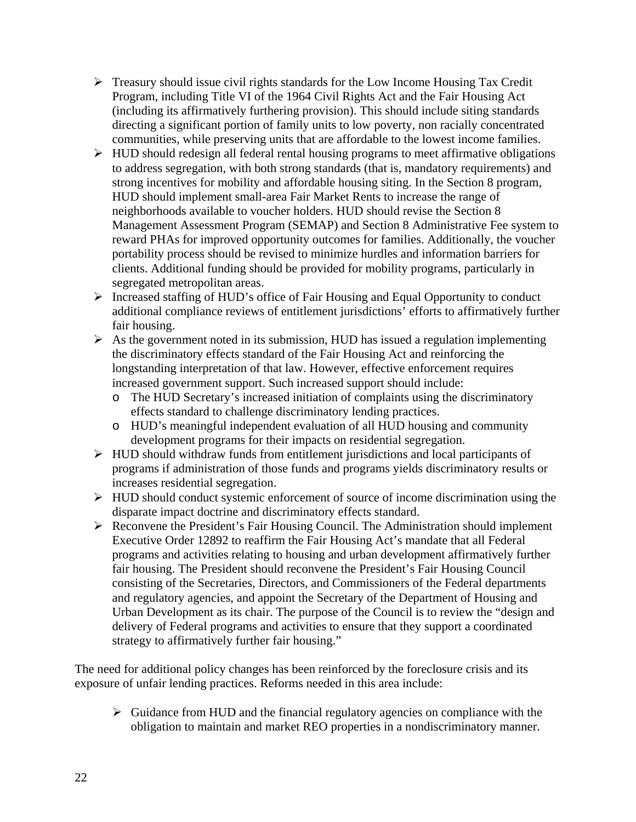- $\triangleright$  Treasury should issue civil rights standards for the Low Income Housing Tax Credit Program, including Title VI of the 1964 Civil Rights Act and the Fair Housing Act (including its affirmatively furthering provision). This should include siting standards directing a significant portion of family units to low poverty, non racially concentrated communities, while preserving units that are affordable to the lowest income families.
- $\triangleright$  HUD should redesign all federal rental housing programs to meet affirmative obligations to address segregation, with both strong standards (that is, mandatory requirements) and strong incentives for mobility and affordable housing siting. In the Section 8 program, HUD should implement small-area Fair Market Rents to increase the range of neighborhoods available to voucher holders. HUD should revise the Section 8 Management Assessment Program (SEMAP) and Section 8 Administrative Fee system to reward PHAs for improved opportunity outcomes for families. Additionally, the voucher portability process should be revised to minimize hurdles and information barriers for clients. Additional funding should be provided for mobility programs, particularly in segregated metropolitan areas.
- $\triangleright$  Increased staffing of HUD's office of Fair Housing and Equal Opportunity to conduct additional compliance reviews of entitlement jurisdictions' efforts to affirmatively further fair housing.
- $\triangleright$  As the government noted in its submission, HUD has issued a regulation implementing the discriminatory effects standard of the Fair Housing Act and reinforcing the longstanding interpretation of that law. However, effective enforcement requires increased government support. Such increased support should include:
	- o The HUD Secretary's increased initiation of complaints using the discriminatory effects standard to challenge discriminatory lending practices.
	- o HUD's meaningful independent evaluation of all HUD housing and community development programs for their impacts on residential segregation.
- $\triangleright$  HUD should withdraw funds from entitlement jurisdictions and local participants of programs if administration of those funds and programs yields discriminatory results or increases residential segregation.
- $\triangleright$  HUD should conduct systemic enforcement of source of income discrimination using the disparate impact doctrine and discriminatory effects standard.
- Reconvene the President's Fair Housing Council. The Administration should implement Executive Order 12892 to reaffirm the Fair Housing Act's mandate that all Federal programs and activities relating to housing and urban development affirmatively further fair housing. The President should reconvene the President's Fair Housing Council consisting of the Secretaries, Directors, and Commissioners of the Federal departments and regulatory agencies, and appoint the Secretary of the Department of Housing and Urban Development as its chair. The purpose of the Council is to review the "design and delivery of Federal programs and activities to ensure that they support a coordinated strategy to affirmatively further fair housing."

The need for additional policy changes has been reinforced by the foreclosure crisis and its exposure of unfair lending practices. Reforms needed in this area include:

 $\triangleright$  Guidance from HUD and the financial regulatory agencies on compliance with the obligation to maintain and market REO properties in a nondiscriminatory manner.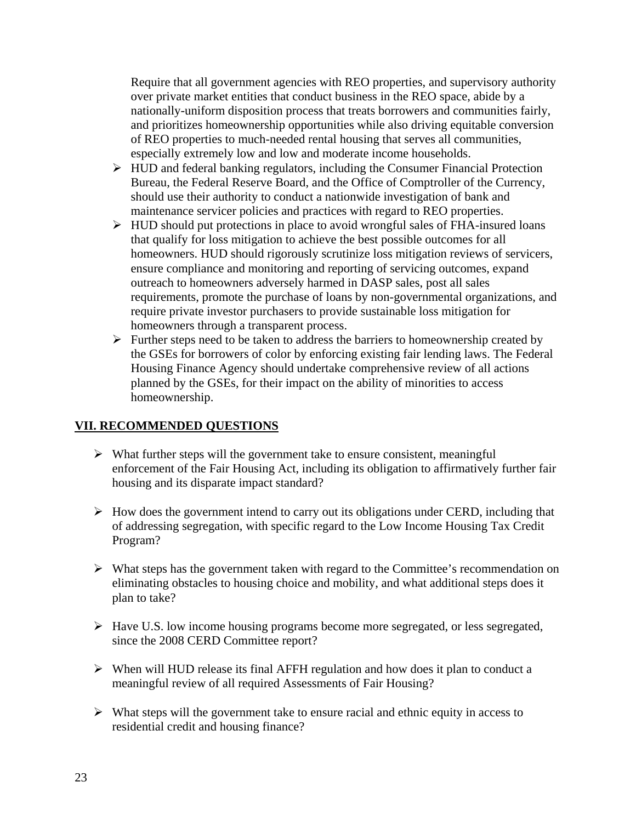Require that all government agencies with REO properties, and supervisory authority over private market entities that conduct business in the REO space, abide by a nationally-uniform disposition process that treats borrowers and communities fairly, and prioritizes homeownership opportunities while also driving equitable conversion of REO properties to much-needed rental housing that serves all communities, especially extremely low and low and moderate income households.

- $\triangleright$  HUD and federal banking regulators, including the Consumer Financial Protection Bureau, the Federal Reserve Board, and the Office of Comptroller of the Currency, should use their authority to conduct a nationwide investigation of bank and maintenance servicer policies and practices with regard to REO properties.
- $\triangleright$  HUD should put protections in place to avoid wrongful sales of FHA-insured loans that qualify for loss mitigation to achieve the best possible outcomes for all homeowners. HUD should rigorously scrutinize loss mitigation reviews of servicers, ensure compliance and monitoring and reporting of servicing outcomes, expand outreach to homeowners adversely harmed in DASP sales, post all sales requirements, promote the purchase of loans by non-governmental organizations, and require private investor purchasers to provide sustainable loss mitigation for homeowners through a transparent process.
- $\triangleright$  Further steps need to be taken to address the barriers to homeownership created by the GSEs for borrowers of color by enforcing existing fair lending laws. The Federal Housing Finance Agency should undertake comprehensive review of all actions planned by the GSEs, for their impact on the ability of minorities to access homeownership.

#### **VII. RECOMMENDED QUESTIONS**

- $\triangleright$  What further steps will the government take to ensure consistent, meaningful enforcement of the Fair Housing Act, including its obligation to affirmatively further fair housing and its disparate impact standard?
- $\triangleright$  How does the government intend to carry out its obligations under CERD, including that of addressing segregation, with specific regard to the Low Income Housing Tax Credit Program?
- $\triangleright$  What steps has the government taken with regard to the Committee's recommendation on eliminating obstacles to housing choice and mobility, and what additional steps does it plan to take?
- Have U.S. low income housing programs become more segregated, or less segregated, since the 2008 CERD Committee report?
- $\triangleright$  When will HUD release its final AFFH regulation and how does it plan to conduct a meaningful review of all required Assessments of Fair Housing?
- $\triangleright$  What steps will the government take to ensure racial and ethnic equity in access to residential credit and housing finance?